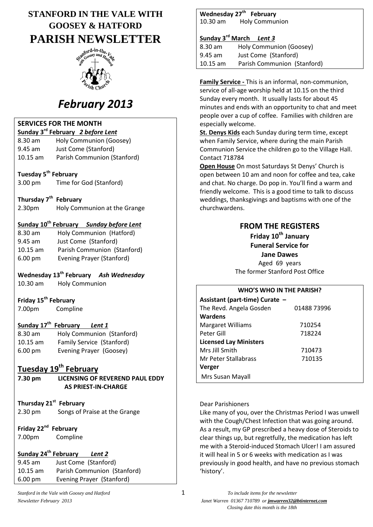# **STANFORD IN THE VALE WITH GOOSEY & HATFORD PARISH NEWSLETTER**



# *February 2013*

#### **SERVICES FOR THE MONTH**

|            | Sunday 3 <sup>rd</sup> February 2 before Lent |
|------------|-----------------------------------------------|
| $8.30$ am  | Holy Communion (Goosey)                       |
| $9.45$ am  | Just Come (Stanford)                          |
| $10.15$ am | Parish Communion (Stanford)                   |

# **Tuesday 5th February**

3.00 pm Time for God (Stanford)

#### **Thursday 7th February**

2.30pm Holy Communion at the Grange

#### **Sunday 10th February** *Sunday before Lent*

| $8.30$ am         | Holy Communion (Hatford)         |
|-------------------|----------------------------------|
| $9.45$ am         | Just Come (Stanford)             |
| $10.15$ am        | Parish Communion (Stanford)      |
| $6.00 \text{ pm}$ | <b>Evening Prayer (Stanford)</b> |

# **Wednesday 13th February** *Ash Wednesday*

10.30 am Holy Communion

# **Friday 15th February**

7.00pm Compline

#### **Sunday 17th February** *Lent 1*

| $8.30$ am         | Holy Communion (Stanford) |
|-------------------|---------------------------|
| $10.15$ am        | Family Service (Stanford) |
| $6.00 \text{ pm}$ | Evening Prayer (Goosey)   |

# **Tuesday 19th February**

| 7.30 pm                                             | LICENSING OF REVEREND PAUL EDDY<br><b>AS PRIEST-IN-CHARGE</b>       |  |
|-----------------------------------------------------|---------------------------------------------------------------------|--|
| $2.30 \text{ pm}$                                   | Thursday 21 <sup>st</sup> February<br>Songs of Praise at the Grange |  |
| Friday 22 <sup>nd</sup> February<br>7.00pm Compline |                                                                     |  |

# **Sunday 24th February** *Lent 2*

9.45 am Just Come (Stanford) 10.15 am Parish Communion (Stanford) 6.00 pm Evening Prayer (Stanford)

**Wednesday 27th February**  10.30 am Holy Communion

#### **Sunday 3rd March** *Lent 3*

| $8.30$ am  | Holy Communion (Goosey)     |
|------------|-----------------------------|
| $9.45$ am  | Just Come (Stanford)        |
| $10.15$ am | Parish Communion (Stanford) |

**Family Service -** This is an informal, non-communion, service of all-age worship held at 10.15 on the third Sunday every month. It usually lasts for about 45 minutes and ends with an opportunity to chat and meet people over a cup of coffee. Families with children are especially welcome.

**St. Denys Kids** each Sunday during term time, except when Family Service, where during the main Parish Communion Service the children go to the Village Hall. Contact 718784

**Open House** On most Saturdays St Denys' Church is open between 10 am and noon for coffee and tea, cake and chat. No charge. Do pop in. You'll find a warm and friendly welcome. This is a good time to talk to discuss weddings, thanksgivings and baptisms with one of the churchwardens.

# **FROM THE REGISTERS**

**Friday 10th January Funeral Service for Jane Dawes** Aged 69 years The former Stanford Post Office

#### **WHO'S WHO IN THE PARISH?**

| Assistant (part-time) Curate - |             |  |  |  |
|--------------------------------|-------------|--|--|--|
| The Revd. Angela Gosden        | 01488 73996 |  |  |  |
| Wardens                        |             |  |  |  |
| <b>Margaret Williams</b>       | 710254      |  |  |  |
| Peter Gill                     | 718224      |  |  |  |
| <b>Licensed Lay Ministers</b>  |             |  |  |  |
| Mrs Jill Smith                 | 710473      |  |  |  |
| Mr Peter Stallabrass           | 710135      |  |  |  |
| Verger                         |             |  |  |  |
| Mrs Susan Mayall               |             |  |  |  |

#### Dear Parishioners

Like many of you, over the Christmas Period I was unwell with the Cough/Chest Infection that was going around. As a result, my GP prescribed a heavy dose of Steroids to clear things up, but regretfully, the medication has left me with a Steroid-induced Stomach Ulcer! I am assured it will heal in 5 or 6 weeks with medication as I was previously in good health, and have no previous stomach 'history'.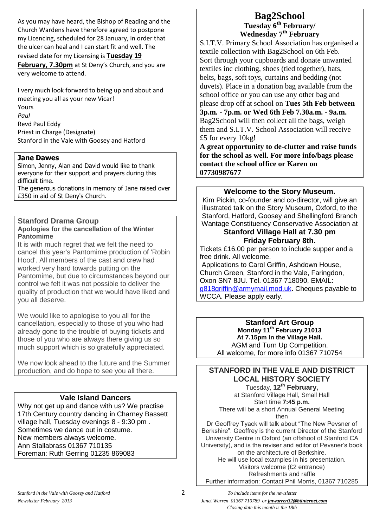As you may have heard, the Bishop of Reading and the Church Wardens have therefore agreed to postpone my Licencing, scheduled for 28 January, in order that the ulcer can heal and I can start fit and well. The

#### revised date for my Licensing is **Tuesday 19**

**February, 7.30pm** at St Deny's Church, and you are very welcome to attend.

I very much look forward to being up and about and meeting you all as your new Vicar! Yours *Paul* Revd Paul Eddy Priest in Charge (Designate) Stanford in the Vale with Goosey and Hatford

#### **Jane Dawes**

Simon, Jenny, Alan and David would like to thank everyone for their support and prayers during this difficult time.

The generous donations in memory of Jane raised over £350 in aid of St Deny's Church.

#### **Stanford Drama Group Apologies for the cancellation of the Winter Pantomime**

It is with much regret that we felt the need to cancel this year's Pantomime production of 'Robin Hood'. All members of the cast and crew had worked very hard towards putting on the Pantomime, but due to circumstances beyond our control we felt it was not possible to deliver the quality of production that we would have liked and you all deserve.

We would like to apologise to you all for the cancellation, especially to those of you who had already gone to the trouble of buying tickets and those of you who are always there giving us so much support which is so gratefully appreciated.

We now look ahead to the future and the Summer production, and do hope to see you all there.

# **Vale Island Dancers**

Why not get up and dance with us? We practise 17th Century country dancing in Charney Bassett village hall, Tuesday evenings 8 - 9:30 pm . Sometimes we dance out in costume. New members always welcome. Ann Stallabrass 01367 710135 Foreman: Ruth Gerring 01235 869083

# **Bag2School Tuesday 6th February/ Wednesday 7th February**

S.I.T.V. Primary School Association has organised a textile collection with Bag2School on 6th Feb. Sort through your cupboards and donate unwanted textiles inc clothing, shoes (tied together), hats, belts, bags, soft toys, curtains and bedding (not duvets). Place in a donation bag available from the school office or you can use any other bag and please drop off at school on **Tues 5th Feb between 3p.m. - 7p.m. or Wed 6th Feb 7.30a.m. - 9a.m.** Bag2School will then collect all the bags, weigh them and S.I.T.V. School Association will receive £5 for every 10kg!

**A great opportunity to de-clutter and raise funds for the school as well. For more info/bags please contact the school office or Karen on 07730987677**

#### **Welcome to the Story Museum.**

Kim Pickin, co-founder and co-director, will give an illustrated talk on the Story Museum, Oxford, to the Stanford, Hatford, Goosey and Shellingford Branch Wantage Constituency Conservative Association at

### **Stanford Village Hall at 7.30 pm Friday February 8th.**

Tickets £16.00 per person to include supper and a free drink. All welcome.

Applications to Carol Griffin, Ashdown House, Church Green, Stanford in the Vale, Faringdon, Oxon SN7 8JU. Tel. 01367 718090, EMAIL: [g818griffin@armymail.mod.uk.](mailto:g818griffin@armylarmymail.mod.uk) Cheques payable to WCCA. Please apply early.

> **Stanford Art Group Monday 11th February 21013 At 7.15pm In the Village Hall.** AGM and Turn Up Competition. All welcome, for more info 01367 710754

# **STANFORD IN THE VALE AND DISTRICT LOCAL HISTORY SOCIETY**

Tuesday, **12th February,**  at Stanford Village Hall, Small Hall Start time **7:45 p.m.** There will be a short Annual General Meeting then

Dr Geoffrey Tyack will talk about "The New Pevsner of Berkshire". Geoffrey is the current Director of the Stanford University Centre in Oxford (an offshoot of Stanford CA University), and is the reviser and editor of Pevsner's book on the architecture of Berkshire. He will use local examples in his presentation. Visitors welcome (£2 entrance) Refreshments and raffle Further information: Contact Phil Morris, 01367 710285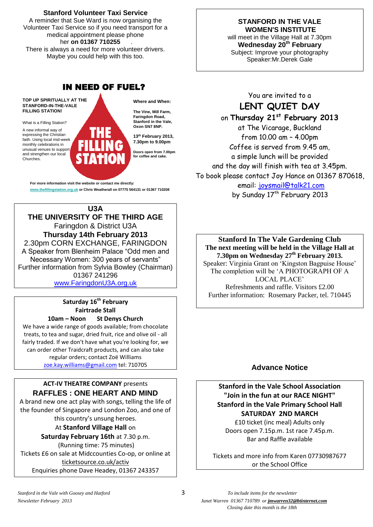#### **Stanford Volunteer Taxi Service**

A reminder that Sue Ward is now organising the Volunteer Taxi Service so if you need transport for a medical appointment please phone her **on 01367 710255** . There is always a need for more volunteer drivers.

Maybe you could help with this too.

# IN NEED OF FUEL?

**TOP UP SPIRITUALLY AT THE STANFORD-IN-THE-VALE FILLING STATION!**

What is a Filling Station?

A new informal way of expressing the Christian faith. Using local mid-week monthly celebrations in unusual venues to support and strengthen our local Churches.

**Where and When:**

**The Vine, Mill Farm, Faringdon Road, Stanford in the Vale, Oxon SN7 8NP.**

**13th February 2013, 7.30pm to 9.00pm**

**Doors open from 7.00pm for coffee and cake.**

**For more information visit the website or contact me directly: www.thefillingstation.org.uk or Chris Weatherall on 07775 564131 or 01367 710208** 

**U3A THE UNIVERSITY OF THE THIRD AGE** Faringdon & District U3A **Thursday 14th February 2013** 2.30pm CORN EXCHANGE, FARINGDON A Speaker from Blenheim Palace "Odd men and Necessary Women: 300 years of servants" Further information from Sylvia Bowley (Chairman) 01367 241296

[www.FaringdonU3A.org.uk](http://www.faringdonu3a.org.uk/)

**Saturday 16th February Fairtrade Stall**

**10am – Noon St Denys Church**

We have a wide range of goods available; from chocolate treats, to tea and sugar, dried fruit, rice and olive oil - all fairly traded. If we don't have what you're looking for, we can order other Traidcraft products, and can also take regular orders; contact Zoë Williams [zoe.kay.williams@gmail.com](mailto:zoe.kay.williams@gmail.com) tel: 710705

#### **ACT-IV THEATRE COMPANY** presents **RAFFLES : ONE HEART AND MIND**

A brand new one act play with songs, telling the life of the founder of Singapore and London Zoo, and one of this country's unsung heroes. At **Stanford Village Hall** on

**Saturday February 16th** at 7.30 p.m.

(Running time: 75 minutes) Tickets £6 on sale at Midccounties Co-op, or online at ticketsource.co.uk/activ Enquiries phone Dave Headey, 01367 243357

#### **STANFORD IN THE VALE WOMEN'S INSTITUTE**

will meet in the Village Hall at 7.30pm **Wednesday 20th February** Subject: Improve your photography Speaker:Mr.Derek Gale

You are invited to a **LENT QUIET DAY** on **Thursday 21st February 2013** at The Vicarage, Buckland from 10.00 am – 4.00pm Coffee is served from 9.45 am, a simple lunch will be provided and the day will finish with tea at 3.45pm.

To book please contact Joy Hance on 01367 870618, email: [joysmail@talk21.com](mailto:joysmail@talk21.com) by Sunday 17<sup>th</sup> February 2013

**Stanford In The Vale Gardening Club The next meeting will be held in the Village Hall at 7.30pm on Wednesday 27 th February 2013.** Speaker: Virginia Grant on 'Kingston Bagpuise House' The completion will be 'A PHOTOGRAPH OF A LOCAL PLACE' Refreshments and raffle. Visitors £2.00 Further information: Rosemary Packer, tel. 710445

# **Advance Notice**

**Stanford in the Vale School Association "Join in the fun at our RACE NIGHT" Stanford in the Vale Primary School Hall SATURDAY 2ND MARCH** £10 ticket (inc meal) Adults only Doors open 7.15p.m. 1st race 7.45p.m.

Bar and Raffle available

Tickets and more info from Karen 07730987677 or the School Office